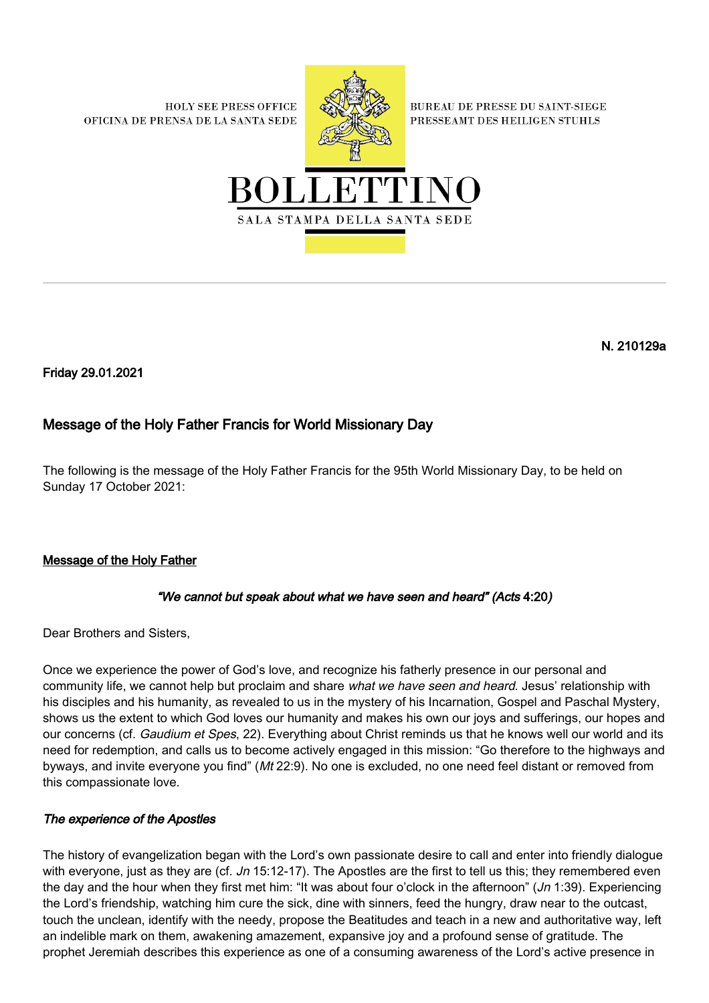**HOLY SEE PRESS OFFICE** OFICINA DE PRENSA DE LA SANTA SEDE



**BUREAU DE PRESSE DU SAINT-SIEGE** PRESSEAMT DES HEILIGEN STUHLS



N. 210129a

Friday 29.01.2021

# Message of the Holy Father Francis for World Missionary Day

The following is the message of the Holy Father Francis for the 95th World Missionary Day, to be held on Sunday 17 October 2021:

## Message of the Holy Father

## "We cannot but speak about what we have seen and heard" (Acts 4:20)

Dear Brothers and Sisters,

Once we experience the power of God's love, and recognize his fatherly presence in our personal and community life, we cannot help but proclaim and share what we have seen and heard. Jesus' relationship with his disciples and his humanity, as revealed to us in the mystery of his Incarnation, Gospel and Paschal Mystery, shows us the extent to which God loves our humanity and makes his own our joys and sufferings, our hopes and our concerns (cf. Gaudium et Spes, 22). Everything about Christ reminds us that he knows well our world and its need for redemption, and calls us to become actively engaged in this mission: "Go therefore to the highways and byways, and invite everyone you find" (Mt 22:9). No one is excluded, no one need feel distant or removed from this compassionate love.

#### The experience of the Apostles

The history of evangelization began with the Lord's own passionate desire to call and enter into friendly dialogue with everyone, just as they are (cf. Jn 15:12-17). The Apostles are the first to tell us this; they remembered even the day and the hour when they first met him: "It was about four o'clock in the afternoon" (Jn 1:39). Experiencing the Lord's friendship, watching him cure the sick, dine with sinners, feed the hungry, draw near to the outcast, touch the unclean, identify with the needy, propose the Beatitudes and teach in a new and authoritative way, left an indelible mark on them, awakening amazement, expansive joy and a profound sense of gratitude. The prophet Jeremiah describes this experience as one of a consuming awareness of the Lord's active presence in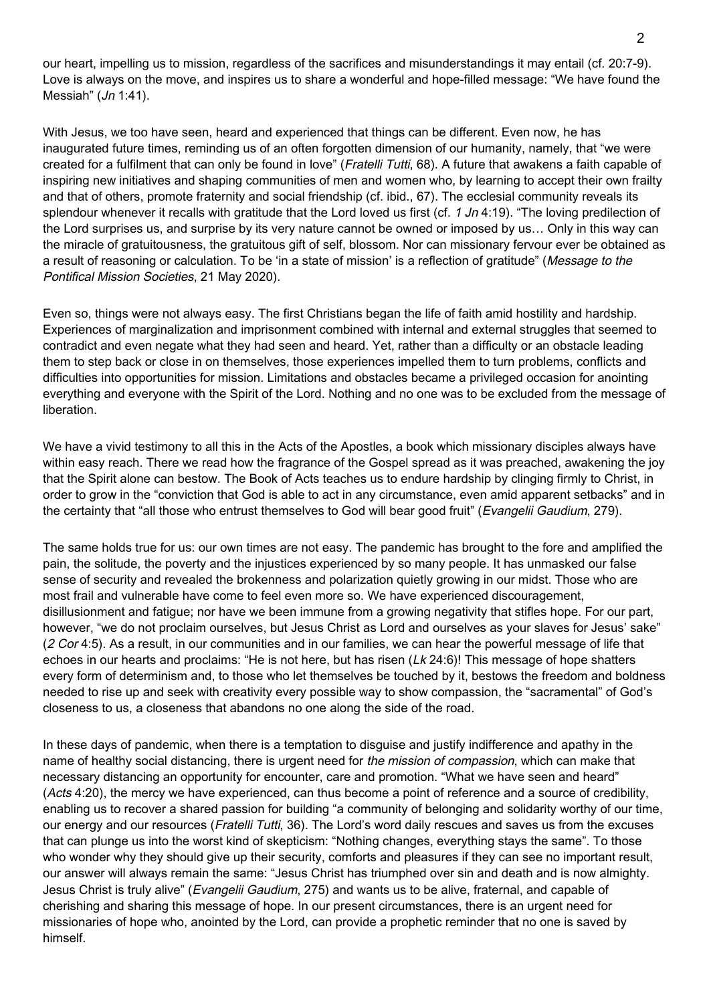our heart, impelling us to mission, regardless of the sacrifices and misunderstandings it may entail (cf. 20:7-9). Love is always on the move, and inspires us to share a wonderful and hope-filled message: "We have found the Messiah"  $(Jn 1:41)$ .

With Jesus, we too have seen, heard and experienced that things can be different. Even now, he has inaugurated future times, reminding us of an often forgotten dimension of our humanity, namely, that "we were created for a fulfilment that can only be found in love" (Fratelli Tutti, 68). A future that awakens a faith capable of inspiring new initiatives and shaping communities of men and women who, by learning to accept their own frailty and that of others, promote fraternity and social friendship (cf. ibid., 67). The ecclesial community reveals its splendour whenever it recalls with gratitude that the Lord loved us first (cf.  $1 \text{ Jn } 4:19$ ). "The loving predilection of the Lord surprises us, and surprise by its very nature cannot be owned or imposed by us… Only in this way can the miracle of gratuitousness, the gratuitous gift of self, blossom. Nor can missionary fervour ever be obtained as a result of reasoning or calculation. To be 'in a state of mission' is a reflection of gratitude" (Message to the Pontifical Mission Societies, 21 May 2020).

Even so, things were not always easy. The first Christians began the life of faith amid hostility and hardship. Experiences of marginalization and imprisonment combined with internal and external struggles that seemed to contradict and even negate what they had seen and heard. Yet, rather than a difficulty or an obstacle leading them to step back or close in on themselves, those experiences impelled them to turn problems, conflicts and difficulties into opportunities for mission. Limitations and obstacles became a privileged occasion for anointing everything and everyone with the Spirit of the Lord. Nothing and no one was to be excluded from the message of liberation.

We have a vivid testimony to all this in the Acts of the Apostles, a book which missionary disciples always have within easy reach. There we read how the fragrance of the Gospel spread as it was preached, awakening the joy that the Spirit alone can bestow. The Book of Acts teaches us to endure hardship by clinging firmly to Christ, in order to grow in the "conviction that God is able to act in any circumstance, even amid apparent setbacks" and in the certainty that "all those who entrust themselves to God will bear good fruit" (Evangelii Gaudium, 279).

The same holds true for us: our own times are not easy. The pandemic has brought to the fore and amplified the pain, the solitude, the poverty and the injustices experienced by so many people. It has unmasked our false sense of security and revealed the brokenness and polarization quietly growing in our midst. Those who are most frail and vulnerable have come to feel even more so. We have experienced discouragement, disillusionment and fatigue; nor have we been immune from a growing negativity that stifles hope. For our part, however, "we do not proclaim ourselves, but Jesus Christ as Lord and ourselves as your slaves for Jesus' sake" (2 Cor 4:5). As a result, in our communities and in our families, we can hear the powerful message of life that echoes in our hearts and proclaims: "He is not here, but has risen (Lk 24:6)! This message of hope shatters every form of determinism and, to those who let themselves be touched by it, bestows the freedom and boldness needed to rise up and seek with creativity every possible way to show compassion, the "sacramental" of God's closeness to us, a closeness that abandons no one along the side of the road.

In these days of pandemic, when there is a temptation to disguise and justify indifference and apathy in the name of healthy social distancing, there is urgent need for the mission of compassion, which can make that necessary distancing an opportunity for encounter, care and promotion. "What we have seen and heard" (Acts 4:20), the mercy we have experienced, can thus become a point of reference and a source of credibility, enabling us to recover a shared passion for building "a community of belonging and solidarity worthy of our time, our energy and our resources (Fratelli Tutti, 36). The Lord's word daily rescues and saves us from the excuses that can plunge us into the worst kind of skepticism: "Nothing changes, everything stays the same". To those who wonder why they should give up their security, comforts and pleasures if they can see no important result, our answer will always remain the same: "Jesus Christ has triumphed over sin and death and is now almighty. Jesus Christ is truly alive" (Evangelii Gaudium, 275) and wants us to be alive, fraternal, and capable of cherishing and sharing this message of hope. In our present circumstances, there is an urgent need for missionaries of hope who, anointed by the Lord, can provide a prophetic reminder that no one is saved by himself.